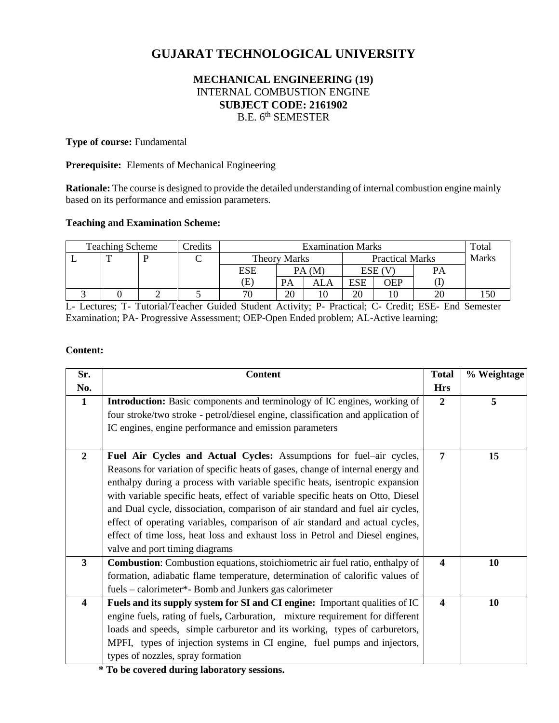# **GUJARAT TECHNOLOGICAL UNIVERSITY**

# **MECHANICAL ENGINEERING (19)** INTERNAL COMBUSTION ENGINE **SUBJECT CODE: 2161902** B.E. 6<sup>th</sup> SEMESTER

### **Type of course:** Fundamental

### **Prerequisite:** Elements of Mechanical Engineering

**Rationale:** The course is designed to provide the detailed understanding of internal combustion engine mainly based on its performance and emission parameters.

## **Teaching and Examination Scheme:**

| <b>Teaching Scheme</b> |  |  | <b>Tredits</b> | <b>Examination Marks</b> |    |                        |     | Total |              |     |
|------------------------|--|--|----------------|--------------------------|----|------------------------|-----|-------|--------------|-----|
|                        |  |  |                | <b>Theory Marks</b>      |    | <b>Practical Marks</b> |     |       | <b>Marks</b> |     |
|                        |  |  |                | ESE                      |    | PA(M)                  | ESE |       |              |     |
|                        |  |  |                | (E)                      | PA | ALA                    | ESE | OEP   |              |     |
|                        |  |  |                | 70                       | 20 | 10                     | 20  |       |              | .50 |

L- Lectures; T- Tutorial/Teacher Guided Student Activity; P- Practical; C- Credit; ESE- End Semester Examination; PA- Progressive Assessment; OEP-Open Ended problem; AL-Active learning;

### **Content:**

| Sr.                     | <b>Content</b>                                                                      | <b>Total</b>          | % Weightage |
|-------------------------|-------------------------------------------------------------------------------------|-----------------------|-------------|
| No.                     |                                                                                     | <b>Hrs</b>            |             |
| $\mathbf{1}$            | <b>Introduction:</b> Basic components and terminology of IC engines, working of     | $\overline{2}$        | 5           |
|                         | four stroke/two stroke - petrol/diesel engine, classification and application of    |                       |             |
|                         | IC engines, engine performance and emission parameters                              |                       |             |
|                         |                                                                                     |                       |             |
| $\overline{2}$          | Fuel Air Cycles and Actual Cycles: Assumptions for fuel-air cycles,                 | $\overline{7}$        | 15          |
|                         | Reasons for variation of specific heats of gases, change of internal energy and     |                       |             |
|                         | enthalpy during a process with variable specific heats, isentropic expansion        |                       |             |
|                         | with variable specific heats, effect of variable specific heats on Otto, Diesel     |                       |             |
|                         | and Dual cycle, dissociation, comparison of air standard and fuel air cycles,       |                       |             |
|                         | effect of operating variables, comparison of air standard and actual cycles,        |                       |             |
|                         | effect of time loss, heat loss and exhaust loss in Petrol and Diesel engines,       |                       |             |
|                         | valve and port timing diagrams                                                      |                       |             |
| $\mathbf{3}$            | <b>Combustion:</b> Combustion equations, stoichiometric air fuel ratio, enthalpy of | $\boldsymbol{4}$      | 10          |
|                         | formation, adiabatic flame temperature, determination of calorific values of        |                       |             |
|                         | fuels – calorimeter*- Bomb and Junkers gas calorimeter                              |                       |             |
| $\overline{\mathbf{4}}$ | Fuels and its supply system for SI and CI engine: Important qualities of IC         | $\boldsymbol{\Delta}$ | 10          |
|                         | engine fuels, rating of fuels, Carburation, mixture requirement for different       |                       |             |
|                         | loads and speeds, simple carburetor and its working, types of carburetors,          |                       |             |
|                         | MPFI, types of injection systems in CI engine, fuel pumps and injectors,            |                       |             |
|                         | types of nozzles, spray formation                                                   |                       |             |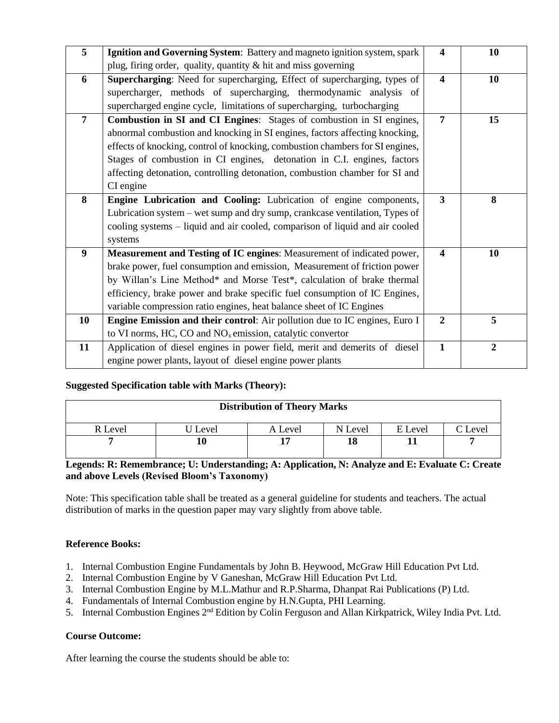| 5  | Ignition and Governing System: Battery and magneto ignition system, spark     | 4                       | 10             |
|----|-------------------------------------------------------------------------------|-------------------------|----------------|
|    | plug, firing order, quality, quantity & hit and miss governing                |                         |                |
| 6  | Supercharging: Need for supercharging, Effect of supercharging, types of      | $\overline{\mathbf{4}}$ | 10             |
|    | supercharger, methods of supercharging, thermodynamic analysis of             |                         |                |
|    | supercharged engine cycle, limitations of supercharging, turbocharging        |                         |                |
| 7  | Combustion in SI and CI Engines: Stages of combustion in SI engines,          | 7                       | 15             |
|    | abnormal combustion and knocking in SI engines, factors affecting knocking,   |                         |                |
|    | effects of knocking, control of knocking, combustion chambers for SI engines, |                         |                |
|    | Stages of combustion in CI engines, detonation in C.I. engines, factors       |                         |                |
|    | affecting detonation, controlling detonation, combustion chamber for SI and   |                         |                |
|    | CI engine                                                                     |                         |                |
| 8  | Engine Lubrication and Cooling: Lubrication of engine components,             | $\mathbf{3}$            | 8              |
|    | Lubrication system – wet sump and dry sump, crankcase ventilation, Types of   |                         |                |
|    | cooling systems – liquid and air cooled, comparison of liquid and air cooled  |                         |                |
|    | systems                                                                       |                         |                |
| 9  | Measurement and Testing of IC engines: Measurement of indicated power,        | $\overline{\mathbf{4}}$ | 10             |
|    | brake power, fuel consumption and emission, Measurement of friction power     |                         |                |
|    | by Willan's Line Method* and Morse Test*, calculation of brake thermal        |                         |                |
|    | efficiency, brake power and brake specific fuel consumption of IC Engines,    |                         |                |
|    | variable compression ratio engines, heat balance sheet of IC Engines          |                         |                |
| 10 | Engine Emission and their control: Air pollution due to IC engines, Euro I    | $\overline{2}$          | 5              |
|    | to VI norms, HC, CO and $NOx$ emission, catalytic convertor                   |                         |                |
| 11 | Application of diesel engines in power field, merit and demerits of diesel    | $\mathbf{1}$            | $\overline{2}$ |
|    | engine power plants, layout of diesel engine power plants                     |                         |                |

## **Suggested Specification table with Marks (Theory):**

| <b>Distribution of Theory Marks</b> |       |         |         |         |                 |  |  |  |
|-------------------------------------|-------|---------|---------|---------|-----------------|--|--|--|
| R Level                             | Level | A Level | N Level | E Level | $\degree$ Level |  |  |  |
|                                     |       |         | 18      |         |                 |  |  |  |

# **Legends: R: Remembrance; U: Understanding; A: Application, N: Analyze and E: Evaluate C: Create and above Levels (Revised Bloom's Taxonomy)**

Note: This specification table shall be treated as a general guideline for students and teachers. The actual distribution of marks in the question paper may vary slightly from above table.

## **Reference Books:**

- 1. Internal Combustion Engine Fundamentals by John B. Heywood, McGraw Hill Education Pvt Ltd.
- 2. Internal Combustion Engine by V Ganeshan, McGraw Hill Education Pvt Ltd.
- 3. Internal Combustion Engine by M.L.Mathur and R.P.Sharma, Dhanpat Rai Publications (P) Ltd.
- 4. Fundamentals of Internal Combustion engine by H.N.Gupta, PHI Learning.
- 5. Internal Combustion Engines 2<sup>nd</sup> Edition by Colin Ferguson and Allan Kirkpatrick, Wiley India Pvt. Ltd.

### **Course Outcome:**

After learning the course the students should be able to: